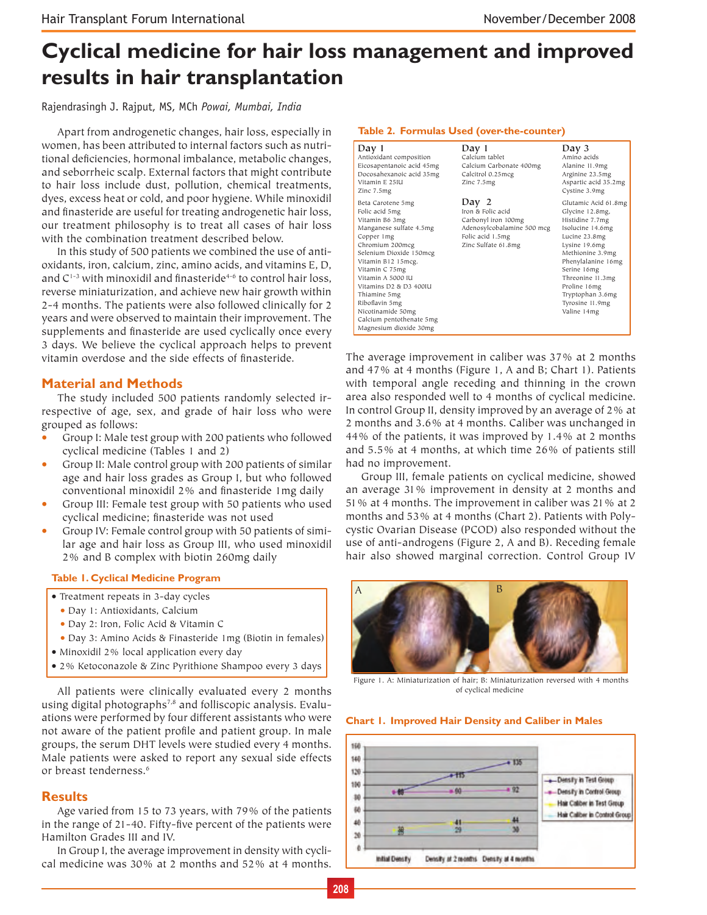# **Cyclical medicine for hair loss management and improved results in hair transplantation**

Rajendrasingh J. Rajput, MS, MCh *Powai, Mumbai, India*

Apart from androgenetic changes, hair loss, especially in women, has been attributed to internal factors such as nutritional deficiencies, hormonal imbalance, metabolic changes, and seborrheic scalp. External factors that might contribute to hair loss include dust, pollution, chemical treatments, dyes, excess heat or cold, and poor hygiene. While minoxidil and finasteride are useful for treating androgenetic hair loss, our treatment philosophy is to treat all cases of hair loss with the combination treatment described below.

In this study of 500 patients we combined the use of antioxidants, iron, calcium, zinc, amino acids, and vitamins E, D, and  $C^{1-3}$  with minoxidil and finasteride<sup>4-6</sup> to control hair loss, reverse miniaturization, and achieve new hair growth within 2-4 months. The patients were also followed clinically for 2 years and were observed to maintain their improvement. The supplements and finasteride are used cyclically once every 3 days. We believe the cyclical approach helps to prevent vitamin overdose and the side effects of finasteride.

#### **Material and Methods**

The study included 500 patients randomly selected irrespective of age, sex, and grade of hair loss who were grouped as follows:

- Group I: Male test group with 200 patients who followed cyclical medicine (Tables 1 and 2)
- Group II: Male control group with 200 patients of similar age and hair loss grades as Group I, but who followed conventional minoxidil 2% and finasteride 1mg daily
- Group III: Female test group with 50 patients who used cyclical medicine; finasteride was not used
- Group IV: Female control group with 50 patients of similar age and hair loss as Group III, who used minoxidil 2% and B complex with biotin 260mg daily

#### **Table 1. Cyclical Medicine Program**

- Treatment repeats in 3-day cycles
	- Day 1: Antioxidants, Calcium
	- Day 2: Iron, Folic Acid & Vitamin C
	- Day 3: Amino Acids & Finasteride 1 mg (Biotin in females)
- Minoxidil 2% local application every day
- 2% Ketoconazole & Zinc Pyrithione Shampoo every 3 days

All patients were clinically evaluated every 2 months using digital photographs<sup>7,8</sup> and folliscopic analysis. Evaluations were performed by four different assistants who were not aware of the patient profile and patient group. In male groups, the serum DHT levels were studied every 4 months. Male patients were asked to report any sexual side effects or breast tenderness.<sup>6</sup>

#### **Results**

Age varied from 15 to 73 years, with 79% of the patients in the range of 21-40. Fifty-five percent of the patients were Hamilton Grades III and IV.

In Group I, the average improvement in density with cyclical medicine was 30% at 2 months and 52% at 4 months.

| Table 2. Formulas Used (over-the-counter)                                                                                                                                                                                                                                                                                                                                |                                                                                                                            |                                                                                                                                                                                                                                                                     |
|--------------------------------------------------------------------------------------------------------------------------------------------------------------------------------------------------------------------------------------------------------------------------------------------------------------------------------------------------------------------------|----------------------------------------------------------------------------------------------------------------------------|---------------------------------------------------------------------------------------------------------------------------------------------------------------------------------------------------------------------------------------------------------------------|
| Day 1<br>Antioxidant composition<br>Eicosapentanoic acid 45mg<br>Docosahexanoic acid 35mg<br>Vitamin F. 25IU<br>Zinc 7.5mg                                                                                                                                                                                                                                               | Day 1<br>Calcium tablet<br>Calcium Carbonate 400mg<br>Calcitrol 0.25mcg<br>Zinc 7.5mg                                      | Day $3$<br>Amino acids<br>Alanine 11.9mg<br>Arginine 23.5mg<br>Aspartic acid 35.2mg<br>Cystine 3.9mg                                                                                                                                                                |
| Beta Carotene 5mg<br>Folic acid 5mg<br>Vitamin B6 3mg<br>Manganese sulfate 4.5mg<br>Copper 1mg<br>Chromium 200mcg<br>Selenium Dioxide 150mcg<br>Vitamin B12 15mcg.<br>Vitamin C 75mg<br>Vitamin A 5000 IU<br>Vitamins D <sub>2</sub> & D <sub>3</sub> 400IU<br>Thiamine 5mg<br>Riboflavin 5mg<br>Nicotinamide 50mg<br>Calcium pentothenate 5mg<br>Magnesium dioxide 30mg | Day 2<br>Iron & Folic acid<br>Carbonyl iron 100mg<br>Adenosylcobalamine 500 mcg<br>Folic acid 1.5mg<br>Zinc Sulfate 61.8mg | Glutamic Acid 61.8mg<br>Glycine 12.8mg,<br>Histidine 7.7mg<br>Isolucine 14.6mg<br>Lucine 23.8mg<br>Lysine 19.6mg<br>Methionine 3.9mg<br>Phenylalanine 16mg<br>Serine 16mg<br>Threonine 11.3mg<br>Proline 16mg<br>Tryptophan 3.6mg<br>Tyrosine 11.9mg<br>Valine 14mg |

The average improvement in caliber was 37% at 2 months and 47% at 4 months (Figure 1, A and B; Chart 1). Patients with temporal angle receding and thinning in the crown area also responded well to 4 months of cyclical medicine. In control Group II, density improved by an average of 2% at 2 months and 3.6% at 4 months. Caliber was unchanged in 44% of the patients, it was improved by 1.4% at 2 months and 5.5% at 4 months, at which time 26% of patients still had no improvement.

Group III, female patients on cyclical medicine, showed an average 31% improvement in density at 2 months and 51% at 4 months. The improvement in caliber was 21% at 2 months and 53% at 4 months (Chart 2). Patients with Polycystic Ovarian Disease (PCOD) also responded without the use of anti-androgens (Figure 2, A and B). Receding female hair also showed marginal correction. Control Group IV



 Figure 1. A: Miniaturization of hair; B: Miniaturization reversed with 4 months of cyclical medicine

#### **Chart 1. Improved Hair Density and Caliber in Males**

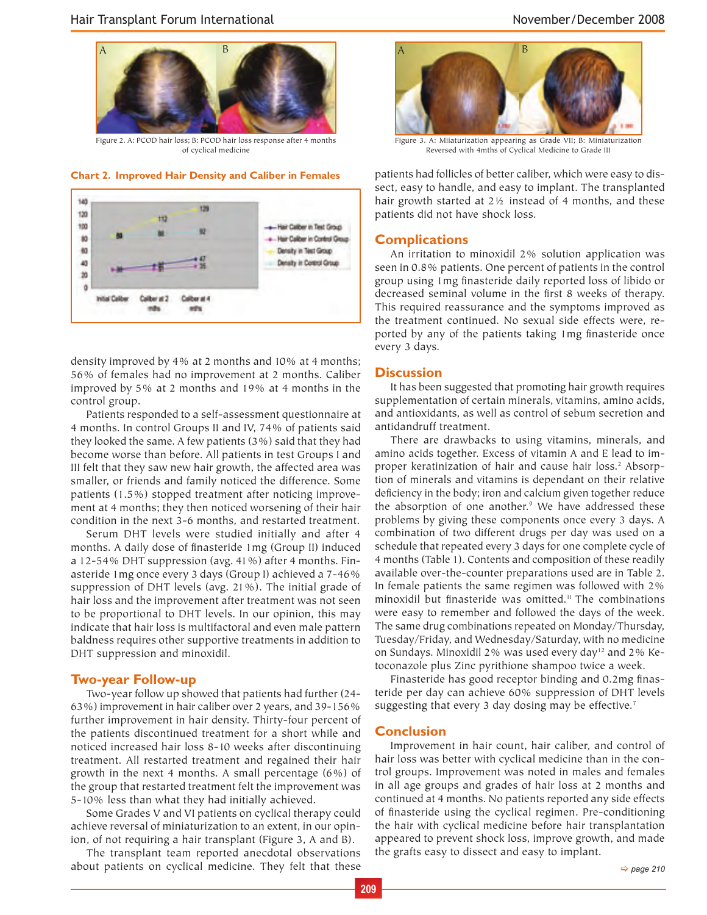

Figure 2. A: PCOD hair loss; B: PCOD hair loss response after 4 months of cyclical medicine

**Chart 2. Improved Hair Density and Caliber in Females**



density improved by 4% at 2 months and 10% at 4 months; 56% of females had no improvement at 2 months. Caliber improved by 5% at 2 months and 19% at 4 months in the control group.

Patients responded to a self-assessment questionnaire at 4 months. In control Groups II and IV, 74% of patients said they looked the same. A few patients (3%) said that they had become worse than before. All patients in test Groups I and III felt that they saw new hair growth, the affected area was smaller, or friends and family noticed the difference. Some patients (1.5%) stopped treatment after noticing improvement at 4 months; they then noticed worsening of their hair condition in the next 3-6 months, and restarted treatment.

Serum DHT levels were studied initially and after 4 months. A daily dose of finasteride 1mg (Group II) induced a 12-54% DHT suppression (avg. 41%) after 4 months. Finasteride 1mg once every 3 days (Group I) achieved a 7-46% suppression of DHT levels (avg. 21%). The initial grade of hair loss and the improvement after treatment was not seen to be proportional to DHT levels. In our opinion, this may indicate that hair loss is multifactoral and even male pattern baldness requires other supportive treatments in addition to DHT suppression and minoxidil.

#### **Two-year Follow-up**

Two-year follow up showed that patients had further (24- 63%) improvement in hair caliber over 2 years, and 39-156% further improvement in hair density. Thirty-four percent of the patients discontinued treatment for a short while and noticed increased hair loss 8-10 weeks after discontinuing treatment. All restarted treatment and regained their hair growth in the next 4 months. A small percentage (6%) of the group that restarted treatment felt the improvement was 5-10% less than what they had initially achieved.

Some Grades V and VI patients on cyclical therapy could achieve reversal of miniaturization to an extent, in our opinion, of not requiring a hair transplant (Figure 3, A and B).

The transplant team reported anecdotal observations about patients on cyclical medicine. They felt that these



Figure 3. A: Miiaturization appearing as Grade VII; B: Miniaturization Reversed with 4mths of Cyclical Medicine to Grade III

patients had follicles of better caliber, which were easy to dissect, easy to handle, and easy to implant. The transplanted hair growth started at 2½ instead of 4 months, and these patients did not have shock loss.

#### **Complications**

An irritation to minoxidil 2% solution application was seen in 0.8% patients. One percent of patients in the control group using 1mg finasteride daily reported loss of libido or decreased seminal volume in the first 8 weeks of therapy. This required reassurance and the symptoms improved as the treatment continued. No sexual side effects were, reported by any of the patients taking 1mg finasteride once every 3 days.

#### **Discussion**

It has been suggested that promoting hair growth requires supplementation of certain minerals, vitamins, amino acids, and antioxidants, as well as control of sebum secretion and antidandruff treatment.

There are drawbacks to using vitamins, minerals, and amino acids together. Excess of vitamin A and E lead to improper keratinization of hair and cause hair loss.2 Absorption of minerals and vitamins is dependant on their relative deficiency in the body; iron and calcium given together reduce the absorption of one another.9 We have addressed these problems by giving these components once every 3 days. A combination of two different drugs per day was used on a schedule that repeated every 3 days for one complete cycle of 4 months (Table 1). Contents and composition of these readily available over-the-counter preparations used are in Table 2. In female patients the same regimen was followed with 2% minoxidil but finasteride was omitted.<sup>11</sup> The combinations were easy to remember and followed the days of the week. The same drug combinations repeated on Monday/Thursday, Tuesday/Friday, and Wednesday/Saturday, with no medicine on Sundays. Minoxidil 2% was used every day<sup>12</sup> and 2% Ketoconazole plus Zinc pyrithione shampoo twice a week.

Finasteride has good receptor binding and 0.2mg finasteride per day can achieve 60% suppression of DHT levels suggesting that every 3 day dosing may be effective.<sup>7</sup>

#### **Conclusion**

Improvement in hair count, hair caliber, and control of hair loss was better with cyclical medicine than in the control groups. Improvement was noted in males and females in all age groups and grades of hair loss at 2 months and continued at 4 months. No patients reported any side effects of finasteride using the cyclical regimen. Pre-conditioning the hair with cyclical medicine before hair transplantation appeared to prevent shock loss, improve growth, and made the grafts easy to dissect and easy to implant.